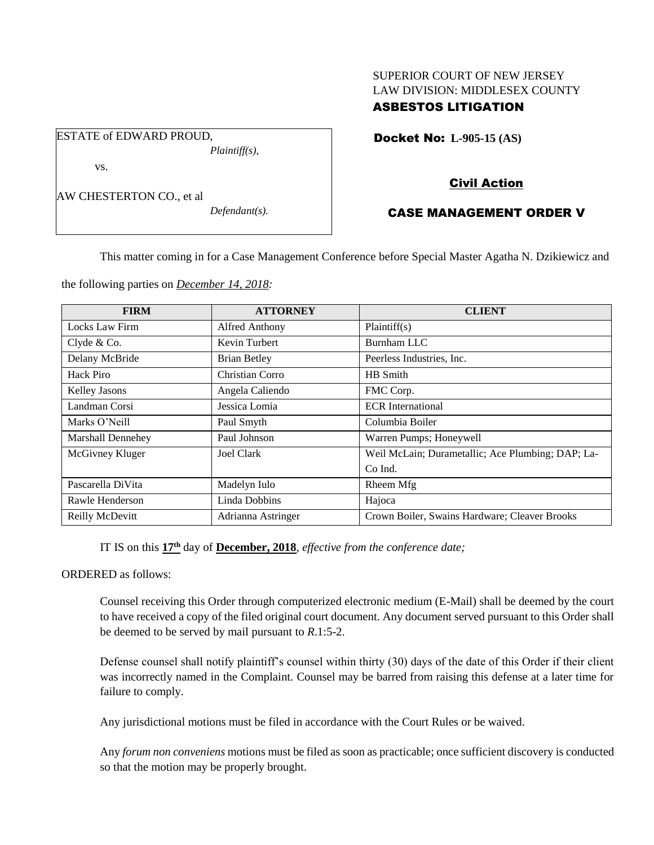# SUPERIOR COURT OF NEW JERSEY LAW DIVISION: MIDDLESEX COUNTY

# ASBESTOS LITIGATION

Docket No: **L-905-15 (AS)** 

vs.

AW CHESTERTON CO., et al

ESTATE of EDWARD PROUD,

*Defendant(s).*

*Plaintiff(s),*

### Civil Action

# CASE MANAGEMENT ORDER V

This matter coming in for a Case Management Conference before Special Master Agatha N. Dzikiewicz and

the following parties on *December 14, 2018:*

| <b>FIRM</b>              | <b>ATTORNEY</b>     | <b>CLIENT</b>                                     |
|--------------------------|---------------------|---------------------------------------------------|
| Locks Law Firm           | Alfred Anthony      | Plaintiff(s)                                      |
| Clyde & Co.              | Kevin Turbert       | <b>Burnham LLC</b>                                |
| Delany McBride           | <b>Brian Betley</b> | Peerless Industries, Inc.                         |
| Hack Piro                | Christian Corro     | HB Smith                                          |
| Kelley Jasons            | Angela Caliendo     | FMC Corp.                                         |
| Landman Corsi            | Jessica Lomia       | <b>ECR</b> International                          |
| Marks O'Neill            | Paul Smyth          | Columbia Boiler                                   |
| <b>Marshall Dennehey</b> | Paul Johnson        | Warren Pumps; Honeywell                           |
| McGivney Kluger          | Joel Clark          | Weil McLain; Durametallic; Ace Plumbing; DAP; La- |
|                          |                     | Co Ind.                                           |
| Pascarella DiVita        | Madelyn Iulo        | Rheem Mfg                                         |
| Rawle Henderson          | Linda Dobbins       | Hajoca                                            |
| Reilly McDevitt          | Adrianna Astringer  | Crown Boiler, Swains Hardware; Cleaver Brooks     |

IT IS on this  $17<sup>th</sup>$  day of **December, 2018**, *effective from the conference date*;

ORDERED as follows:

Counsel receiving this Order through computerized electronic medium (E-Mail) shall be deemed by the court to have received a copy of the filed original court document. Any document served pursuant to this Order shall be deemed to be served by mail pursuant to *R*.1:5-2.

Defense counsel shall notify plaintiff's counsel within thirty (30) days of the date of this Order if their client was incorrectly named in the Complaint. Counsel may be barred from raising this defense at a later time for failure to comply.

Any jurisdictional motions must be filed in accordance with the Court Rules or be waived.

Any *forum non conveniens* motions must be filed as soon as practicable; once sufficient discovery is conducted so that the motion may be properly brought.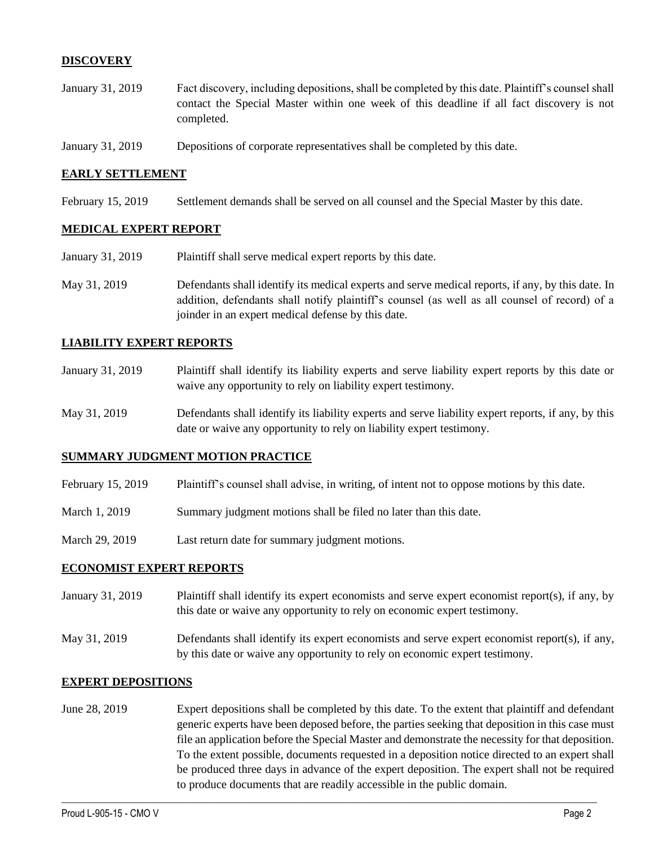### **DISCOVERY**

- January 31, 2019 Fact discovery, including depositions, shall be completed by this date. Plaintiff's counsel shall contact the Special Master within one week of this deadline if all fact discovery is not completed.
- January 31, 2019 Depositions of corporate representatives shall be completed by this date.

#### **EARLY SETTLEMENT**

February 15, 2019 Settlement demands shall be served on all counsel and the Special Master by this date.

### **MEDICAL EXPERT REPORT**

- January 31, 2019 Plaintiff shall serve medical expert reports by this date.
- May 31, 2019 Defendants shall identify its medical experts and serve medical reports, if any, by this date. In addition, defendants shall notify plaintiff's counsel (as well as all counsel of record) of a joinder in an expert medical defense by this date.

### **LIABILITY EXPERT REPORTS**

- January 31, 2019 Plaintiff shall identify its liability experts and serve liability expert reports by this date or waive any opportunity to rely on liability expert testimony.
- May 31, 2019 Defendants shall identify its liability experts and serve liability expert reports, if any, by this date or waive any opportunity to rely on liability expert testimony.

#### **SUMMARY JUDGMENT MOTION PRACTICE**

- February 15, 2019 Plaintiff's counsel shall advise, in writing, of intent not to oppose motions by this date.
- March 1, 2019 Summary judgment motions shall be filed no later than this date.
- March 29, 2019 Last return date for summary judgment motions.

### **ECONOMIST EXPERT REPORTS**

- January 31, 2019 Plaintiff shall identify its expert economists and serve expert economist report(s), if any, by this date or waive any opportunity to rely on economic expert testimony.
- May 31, 2019 Defendants shall identify its expert economists and serve expert economist report(s), if any, by this date or waive any opportunity to rely on economic expert testimony.

#### **EXPERT DEPOSITIONS**

June 28, 2019 Expert depositions shall be completed by this date. To the extent that plaintiff and defendant generic experts have been deposed before, the parties seeking that deposition in this case must file an application before the Special Master and demonstrate the necessity for that deposition. To the extent possible, documents requested in a deposition notice directed to an expert shall be produced three days in advance of the expert deposition. The expert shall not be required to produce documents that are readily accessible in the public domain.

 $\_$  ,  $\_$  ,  $\_$  ,  $\_$  ,  $\_$  ,  $\_$  ,  $\_$  ,  $\_$  ,  $\_$  ,  $\_$  ,  $\_$  ,  $\_$  ,  $\_$  ,  $\_$  ,  $\_$  ,  $\_$  ,  $\_$  ,  $\_$  ,  $\_$  ,  $\_$  ,  $\_$  ,  $\_$  ,  $\_$  ,  $\_$  ,  $\_$  ,  $\_$  ,  $\_$  ,  $\_$  ,  $\_$  ,  $\_$  ,  $\_$  ,  $\_$  ,  $\_$  ,  $\_$  ,  $\_$  ,  $\_$  ,  $\_$  ,